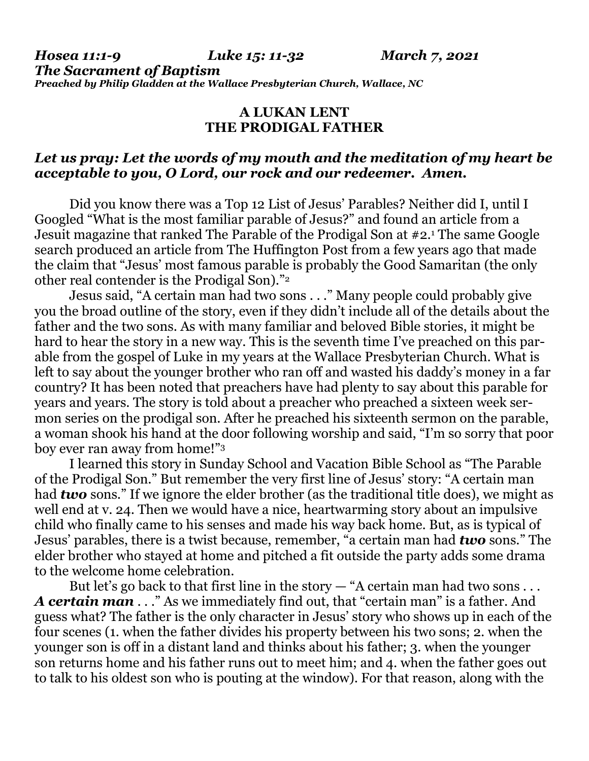## **A LUKAN LENT THE PRODIGAL FATHER**

## *Let us pray: Let the words of my mouth and the meditation of my heart be acceptable to you, O Lord, our rock and our redeemer. Amen.*

Did you know there was a Top 12 List of Jesus' Parables? Neither did I, until I Googled "What is the most familiar parable of Jesus?" and found an article from a Jesuit magazine that ranked The Parable of the Prodigal Son at #2.<sup>1</sup> The same Google search produced an article from The Huffington Post from a few years ago that made the claim that "Jesus' most famous parable is probably the Good Samaritan (the only other real contender is the Prodigal Son)."<sup>2</sup>

Jesus said, "A certain man had two sons . . ." Many people could probably give you the broad outline of the story, even if they didn't include all of the details about the father and the two sons. As with many familiar and beloved Bible stories, it might be hard to hear the story in a new way. This is the seventh time I've preached on this parable from the gospel of Luke in my years at the Wallace Presbyterian Church. What is left to say about the younger brother who ran off and wasted his daddy's money in a far country? It has been noted that preachers have had plenty to say about this parable for years and years. The story is told about a preacher who preached a sixteen week sermon series on the prodigal son. After he preached his sixteenth sermon on the parable, a woman shook his hand at the door following worship and said, "I'm so sorry that poor boy ever ran away from home!"<sup>3</sup>

I learned this story in Sunday School and Vacation Bible School as "The Parable of the Prodigal Son." But remember the very first line of Jesus' story: "A certain man had *two* sons." If we ignore the elder brother (as the traditional title does), we might as well end at v. 24. Then we would have a nice, heartwarming story about an impulsive child who finally came to his senses and made his way back home. But, as is typical of Jesus' parables, there is a twist because, remember, "a certain man had *two* sons." The elder brother who stayed at home and pitched a fit outside the party adds some drama to the welcome home celebration.

But let's go back to that first line in the story  $-$  "A certain man had two sons... *A certain man* . . ." As we immediately find out, that "certain man" is a father. And guess what? The father is the only character in Jesus' story who shows up in each of the four scenes (1. when the father divides his property between his two sons; 2. when the younger son is off in a distant land and thinks about his father; 3. when the younger son returns home and his father runs out to meet him; and 4. when the father goes out to talk to his oldest son who is pouting at the window). For that reason, along with the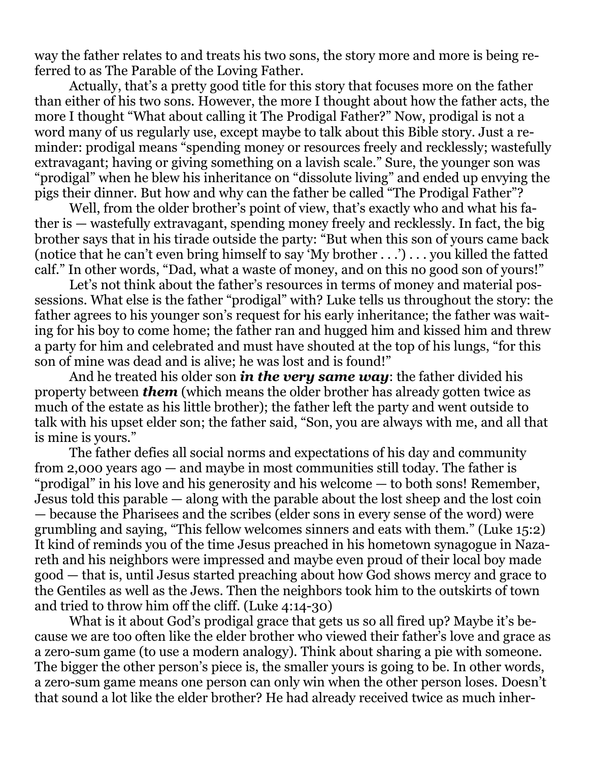way the father relates to and treats his two sons, the story more and more is being referred to as The Parable of the Loving Father.

Actually, that's a pretty good title for this story that focuses more on the father than either of his two sons. However, the more I thought about how the father acts, the more I thought "What about calling it The Prodigal Father?" Now, prodigal is not a word many of us regularly use, except maybe to talk about this Bible story. Just a reminder: prodigal means "spending money or resources freely and recklessly; wastefully extravagant; having or giving something on a lavish scale." Sure, the younger son was "prodigal" when he blew his inheritance on "dissolute living" and ended up envying the pigs their dinner. But how and why can the father be called "The Prodigal Father"?

Well, from the older brother's point of view, that's exactly who and what his father is — wastefully extravagant, spending money freely and recklessly. In fact, the big brother says that in his tirade outside the party: "But when this son of yours came back (notice that he can't even bring himself to say 'My brother . . .') . . . you killed the fatted calf." In other words, "Dad, what a waste of money, and on this no good son of yours!"

Let's not think about the father's resources in terms of money and material possessions. What else is the father "prodigal" with? Luke tells us throughout the story: the father agrees to his younger son's request for his early inheritance; the father was waiting for his boy to come home; the father ran and hugged him and kissed him and threw a party for him and celebrated and must have shouted at the top of his lungs, "for this son of mine was dead and is alive; he was lost and is found!"

And he treated his older son *in the very same way*: the father divided his property between *them* (which means the older brother has already gotten twice as much of the estate as his little brother); the father left the party and went outside to talk with his upset elder son; the father said, "Son, you are always with me, and all that is mine is yours."

The father defies all social norms and expectations of his day and community from 2,000 years ago — and maybe in most communities still today. The father is "prodigal" in his love and his generosity and his welcome — to both sons! Remember, Jesus told this parable — along with the parable about the lost sheep and the lost coin — because the Pharisees and the scribes (elder sons in every sense of the word) were grumbling and saying, "This fellow welcomes sinners and eats with them." (Luke 15:2) It kind of reminds you of the time Jesus preached in his hometown synagogue in Nazareth and his neighbors were impressed and maybe even proud of their local boy made good — that is, until Jesus started preaching about how God shows mercy and grace to the Gentiles as well as the Jews. Then the neighbors took him to the outskirts of town and tried to throw him off the cliff. (Luke 4:14-30)

What is it about God's prodigal grace that gets us so all fired up? Maybe it's because we are too often like the elder brother who viewed their father's love and grace as a zero-sum game (to use a modern analogy). Think about sharing a pie with someone. The bigger the other person's piece is, the smaller yours is going to be. In other words, a zero-sum game means one person can only win when the other person loses. Doesn't that sound a lot like the elder brother? He had already received twice as much inher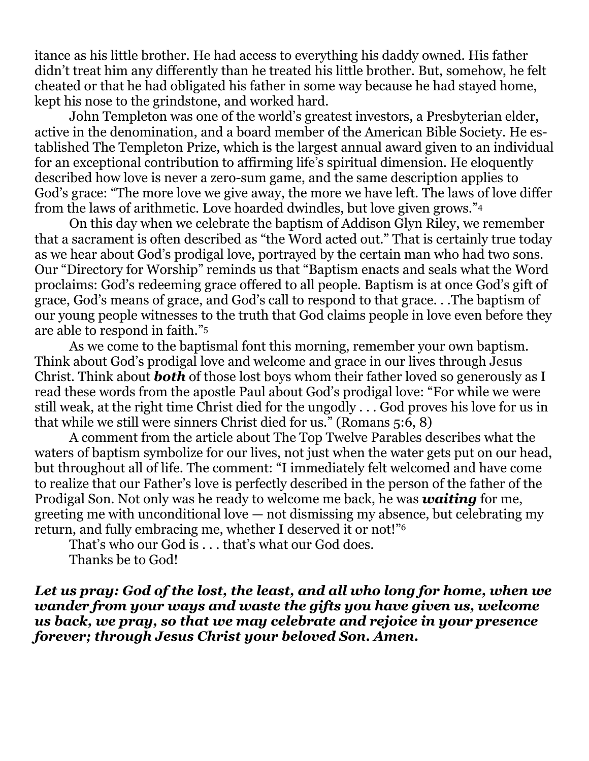itance as his little brother. He had access to everything his daddy owned. His father didn't treat him any differently than he treated his little brother. But, somehow, he felt cheated or that he had obligated his father in some way because he had stayed home, kept his nose to the grindstone, and worked hard.

John Templeton was one of the world's greatest investors, a Presbyterian elder, active in the denomination, and a board member of the American Bible Society. He established The Templeton Prize, which is the largest annual award given to an individual for an exceptional contribution to affirming life's spiritual dimension. He eloquently described how love is never a zero-sum game, and the same description applies to God's grace: "The more love we give away, the more we have left. The laws of love differ from the laws of arithmetic. Love hoarded dwindles, but love given grows."<sup>4</sup>

On this day when we celebrate the baptism of Addison Glyn Riley, we remember that a sacrament is often described as "the Word acted out." That is certainly true today as we hear about God's prodigal love, portrayed by the certain man who had two sons. Our "Directory for Worship" reminds us that "Baptism enacts and seals what the Word proclaims: God's redeeming grace offered to all people. Baptism is at once God's gift of grace, God's means of grace, and God's call to respond to that grace. . .The baptism of our young people witnesses to the truth that God claims people in love even before they are able to respond in faith."<sup>5</sup>

As we come to the baptismal font this morning, remember your own baptism. Think about God's prodigal love and welcome and grace in our lives through Jesus Christ. Think about *both* of those lost boys whom their father loved so generously as I read these words from the apostle Paul about God's prodigal love: "For while we were still weak, at the right time Christ died for the ungodly . . . God proves his love for us in that while we still were sinners Christ died for us." (Romans 5:6, 8)

A comment from the article about The Top Twelve Parables describes what the waters of baptism symbolize for our lives, not just when the water gets put on our head, but throughout all of life. The comment: "I immediately felt welcomed and have come to realize that our Father's love is perfectly described in the person of the father of the Prodigal Son. Not only was he ready to welcome me back, he was *waiting* for me, greeting me with unconditional love — not dismissing my absence, but celebrating my return, and fully embracing me, whether I deserved it or not!"<sup>6</sup>

That's who our God is . . . that's what our God does. Thanks be to God!

*Let us pray: God of the lost, the least, and all who long for home, when we wander from your ways and waste the gifts you have given us, welcome us back, we pray, so that we may celebrate and rejoice in your presence forever; through Jesus Christ your beloved Son. Amen.*